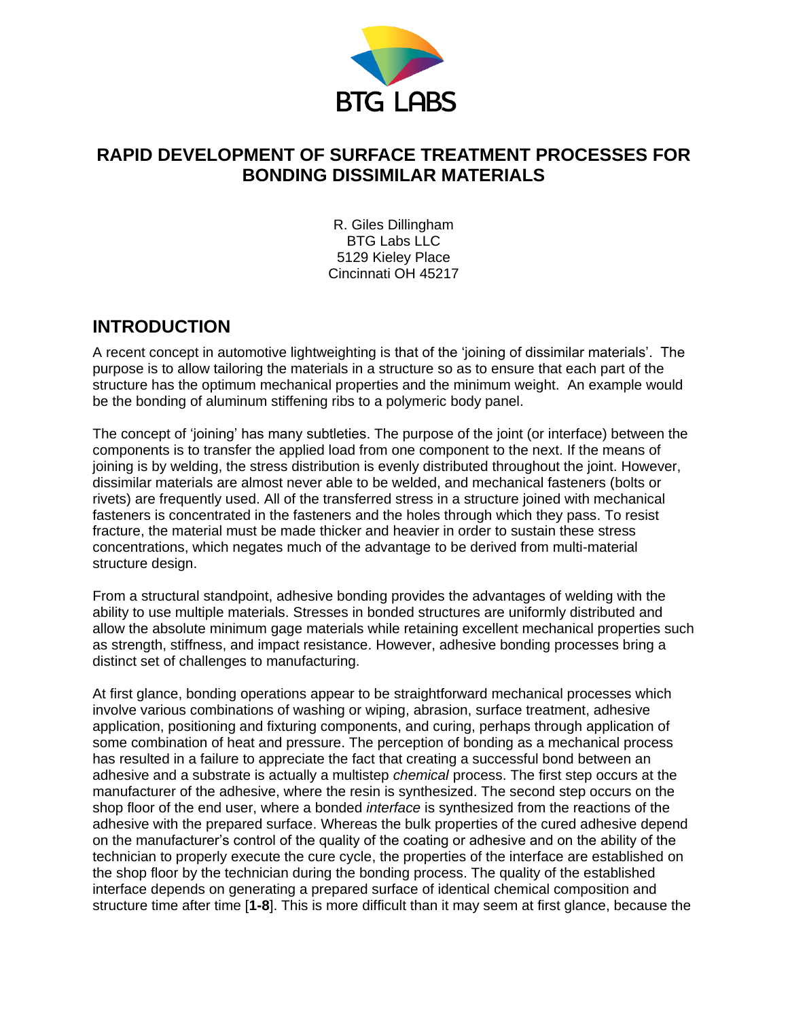

# **RAPID DEVELOPMENT OF SURFACE TREATMENT PROCESSES FOR BONDING DISSIMILAR MATERIALS**

R. Giles Dillingham BTG Labs LLC 5129 Kieley Place Cincinnati OH 45217

## **INTRODUCTION**

A recent concept in automotive lightweighting is that of the 'joining of dissimilar materials'. The purpose is to allow tailoring the materials in a structure so as to ensure that each part of the structure has the optimum mechanical properties and the minimum weight. An example would be the bonding of aluminum stiffening ribs to a polymeric body panel.

The concept of 'joining' has many subtleties. The purpose of the joint (or interface) between the components is to transfer the applied load from one component to the next. If the means of joining is by welding, the stress distribution is evenly distributed throughout the joint. However, dissimilar materials are almost never able to be welded, and mechanical fasteners (bolts or rivets) are frequently used. All of the transferred stress in a structure joined with mechanical fasteners is concentrated in the fasteners and the holes through which they pass. To resist fracture, the material must be made thicker and heavier in order to sustain these stress concentrations, which negates much of the advantage to be derived from multi-material structure design.

From a structural standpoint, adhesive bonding provides the advantages of welding with the ability to use multiple materials. Stresses in bonded structures are uniformly distributed and allow the absolute minimum gage materials while retaining excellent mechanical properties such as strength, stiffness, and impact resistance. However, adhesive bonding processes bring a distinct set of challenges to manufacturing.

At first glance, bonding operations appear to be straightforward mechanical processes which involve various combinations of washing or wiping, abrasion, surface treatment, adhesive application, positioning and fixturing components, and curing, perhaps through application of some combination of heat and pressure. The perception of bonding as a mechanical process has resulted in a failure to appreciate the fact that creating a successful bond between an adhesive and a substrate is actually a multistep *chemical* process. The first step occurs at the manufacturer of the adhesive, where the resin is synthesized. The second step occurs on the shop floor of the end user, where a bonded *interface* is synthesized from the reactions of the adhesive with the prepared surface. Whereas the bulk properties of the cured adhesive depend on the manufacturer's control of the quality of the coating or adhesive and on the ability of the technician to properly execute the cure cycle, the properties of the interface are established on the shop floor by the technician during the bonding process. The quality of the established interface depends on generating a prepared surface of identical chemical composition and structure time after time [**1-8**]. This is more difficult than it may seem at first glance, because the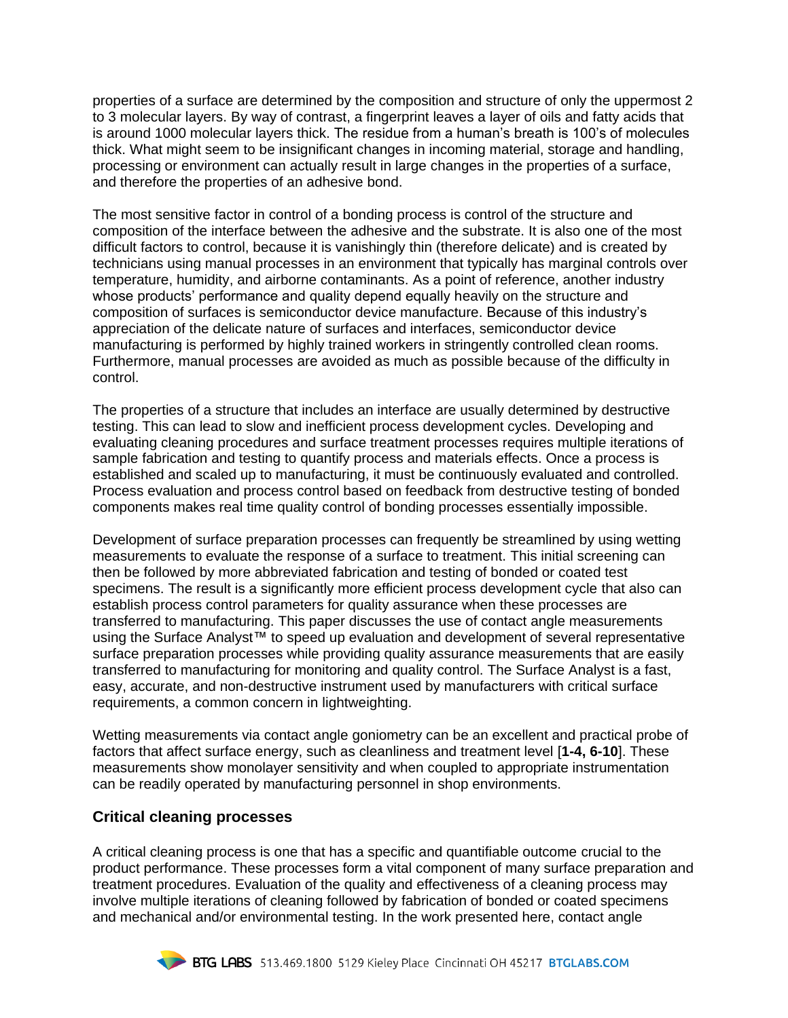properties of a surface are determined by the composition and structure of only the uppermost 2 to 3 molecular layers. By way of contrast, a fingerprint leaves a layer of oils and fatty acids that is around 1000 molecular layers thick. The residue from a human's breath is 100's of molecules thick. What might seem to be insignificant changes in incoming material, storage and handling, processing or environment can actually result in large changes in the properties of a surface, and therefore the properties of an adhesive bond.

The most sensitive factor in control of a bonding process is control of the structure and composition of the interface between the adhesive and the substrate. It is also one of the most difficult factors to control, because it is vanishingly thin (therefore delicate) and is created by technicians using manual processes in an environment that typically has marginal controls over temperature, humidity, and airborne contaminants. As a point of reference, another industry whose products' performance and quality depend equally heavily on the structure and composition of surfaces is semiconductor device manufacture. Because of this industry's appreciation of the delicate nature of surfaces and interfaces, semiconductor device manufacturing is performed by highly trained workers in stringently controlled clean rooms. Furthermore, manual processes are avoided as much as possible because of the difficulty in control.

The properties of a structure that includes an interface are usually determined by destructive testing. This can lead to slow and inefficient process development cycles. Developing and evaluating cleaning procedures and surface treatment processes requires multiple iterations of sample fabrication and testing to quantify process and materials effects. Once a process is established and scaled up to manufacturing, it must be continuously evaluated and controlled. Process evaluation and process control based on feedback from destructive testing of bonded components makes real time quality control of bonding processes essentially impossible.

Development of surface preparation processes can frequently be streamlined by using wetting measurements to evaluate the response of a surface to treatment. This initial screening can then be followed by more abbreviated fabrication and testing of bonded or coated test specimens. The result is a significantly more efficient process development cycle that also can establish process control parameters for quality assurance when these processes are transferred to manufacturing. This paper discusses the use of contact angle measurements using the Surface Analyst™ to speed up evaluation and development of several representative surface preparation processes while providing quality assurance measurements that are easily transferred to manufacturing for monitoring and quality control. The Surface Analyst is a fast, easy, accurate, and non-destructive instrument used by manufacturers with critical surface requirements, a common concern in lightweighting.

Wetting measurements via contact angle goniometry can be an excellent and practical probe of factors that affect surface energy, such as cleanliness and treatment level [**1-4, 6-10**]. These measurements show monolayer sensitivity and when coupled to appropriate instrumentation can be readily operated by manufacturing personnel in shop environments.

#### **Critical cleaning processes**

A critical cleaning process is one that has a specific and quantifiable outcome crucial to the product performance. These processes form a vital component of many surface preparation and treatment procedures. Evaluation of the quality and effectiveness of a cleaning process may involve multiple iterations of cleaning followed by fabrication of bonded or coated specimens and mechanical and/or environmental testing. In the work presented here, contact angle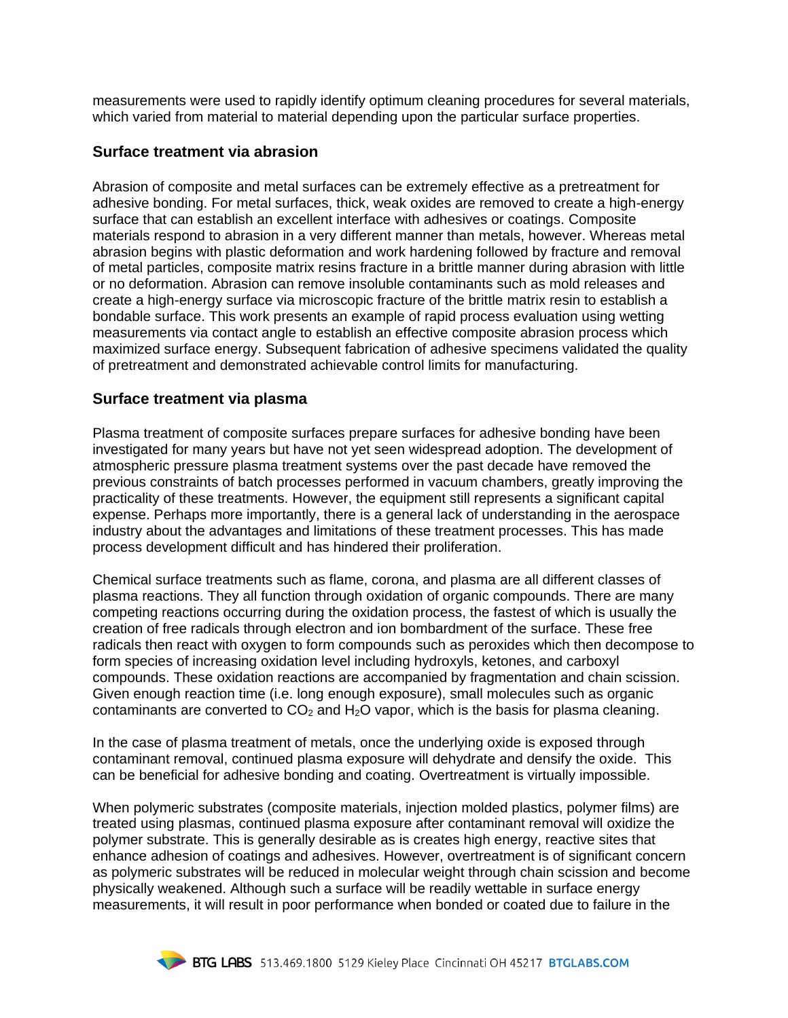measurements were used to rapidly identify optimum cleaning procedures for several materials, which varied from material to material depending upon the particular surface properties.

#### **Surface treatment via abrasion**

Abrasion of composite and metal surfaces can be extremely effective as a pretreatment for adhesive bonding. For metal surfaces, thick, weak oxides are removed to create a high-energy surface that can establish an excellent interface with adhesives or coatings. Composite materials respond to abrasion in a very different manner than metals, however. Whereas metal abrasion begins with plastic deformation and work hardening followed by fracture and removal of metal particles, composite matrix resins fracture in a brittle manner during abrasion with little or no deformation. Abrasion can remove insoluble contaminants such as mold releases and create a high-energy surface via microscopic fracture of the brittle matrix resin to establish a bondable surface. This work presents an example of rapid process evaluation using wetting measurements via contact angle to establish an effective composite abrasion process which maximized surface energy. Subsequent fabrication of adhesive specimens validated the quality of pretreatment and demonstrated achievable control limits for manufacturing.

#### **Surface treatment via plasma**

Plasma treatment of composite surfaces prepare surfaces for adhesive bonding have been investigated for many years but have not yet seen widespread adoption. The development of atmospheric pressure plasma treatment systems over the past decade have removed the previous constraints of batch processes performed in vacuum chambers, greatly improving the practicality of these treatments. However, the equipment still represents a significant capital expense. Perhaps more importantly, there is a general lack of understanding in the aerospace industry about the advantages and limitations of these treatment processes. This has made process development difficult and has hindered their proliferation.

Chemical surface treatments such as flame, corona, and plasma are all different classes of plasma reactions. They all function through oxidation of organic compounds. There are many competing reactions occurring during the oxidation process, the fastest of which is usually the creation of free radicals through electron and ion bombardment of the surface. These free radicals then react with oxygen to form compounds such as peroxides which then decompose to form species of increasing oxidation level including hydroxyls, ketones, and carboxyl compounds. These oxidation reactions are accompanied by fragmentation and chain scission. Given enough reaction time (i.e. long enough exposure), small molecules such as organic contaminants are converted to  $CO<sub>2</sub>$  and  $H<sub>2</sub>O$  vapor, which is the basis for plasma cleaning.

In the case of plasma treatment of metals, once the underlying oxide is exposed through contaminant removal, continued plasma exposure will dehydrate and densify the oxide. This can be beneficial for adhesive bonding and coating. Overtreatment is virtually impossible.

When polymeric substrates (composite materials, injection molded plastics, polymer films) are treated using plasmas, continued plasma exposure after contaminant removal will oxidize the polymer substrate. This is generally desirable as is creates high energy, reactive sites that enhance adhesion of coatings and adhesives. However, overtreatment is of significant concern as polymeric substrates will be reduced in molecular weight through chain scission and become physically weakened. Although such a surface will be readily wettable in surface energy measurements, it will result in poor performance when bonded or coated due to failure in the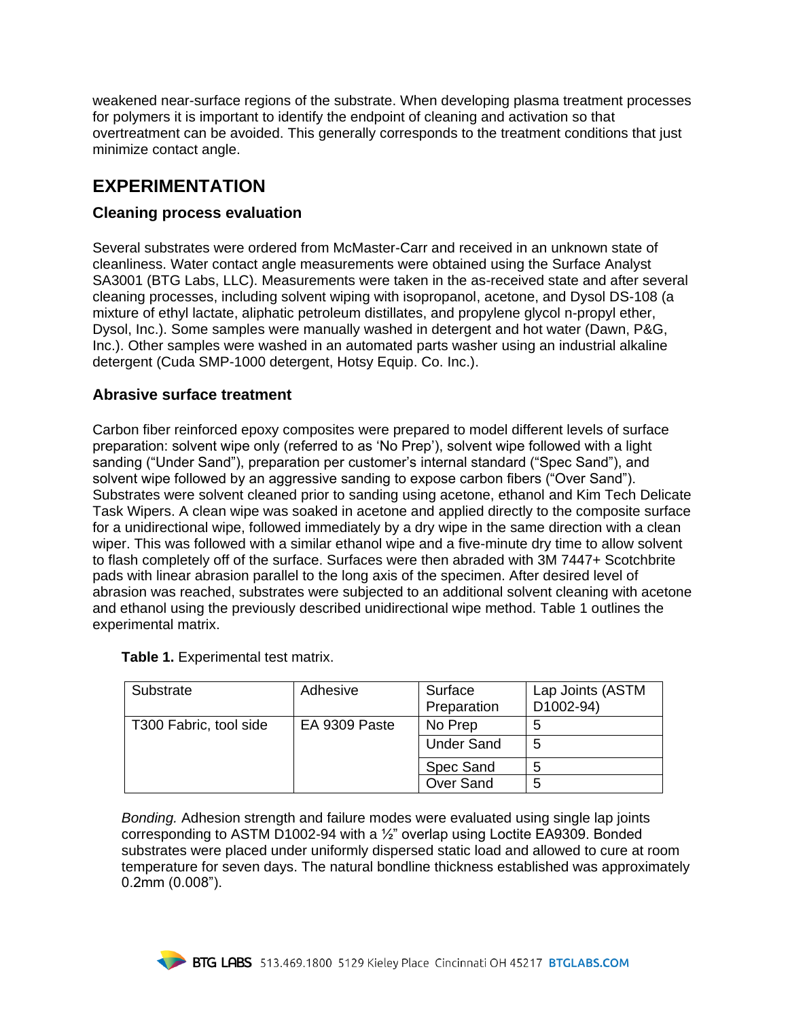weakened near-surface regions of the substrate. When developing plasma treatment processes for polymers it is important to identify the endpoint of cleaning and activation so that overtreatment can be avoided. This generally corresponds to the treatment conditions that just minimize contact angle.

## **EXPERIMENTATION**

### **Cleaning process evaluation**

Several substrates were ordered from McMaster-Carr and received in an unknown state of cleanliness. Water contact angle measurements were obtained using the Surface Analyst SA3001 (BTG Labs, LLC). Measurements were taken in the as-received state and after several cleaning processes, including solvent wiping with isopropanol, acetone, and Dysol DS-108 (a mixture of ethyl lactate, aliphatic petroleum distillates, and propylene glycol n-propyl ether, Dysol, Inc.). Some samples were manually washed in detergent and hot water (Dawn, P&G, Inc.). Other samples were washed in an automated parts washer using an industrial alkaline detergent (Cuda SMP-1000 detergent, Hotsy Equip. Co. Inc.).

### **Abrasive surface treatment**

Carbon fiber reinforced epoxy composites were prepared to model different levels of surface preparation: solvent wipe only (referred to as 'No Prep'), solvent wipe followed with a light sanding ("Under Sand"), preparation per customer's internal standard ("Spec Sand"), and solvent wipe followed by an aggressive sanding to expose carbon fibers ("Over Sand"). Substrates were solvent cleaned prior to sanding using acetone, ethanol and Kim Tech Delicate Task Wipers. A clean wipe was soaked in acetone and applied directly to the composite surface for a unidirectional wipe, followed immediately by a dry wipe in the same direction with a clean wiper. This was followed with a similar ethanol wipe and a five-minute dry time to allow solvent to flash completely off of the surface. Surfaces were then abraded with 3M 7447+ Scotchbrite pads with linear abrasion parallel to the long axis of the specimen. After desired level of abrasion was reached, substrates were subjected to an additional solvent cleaning with acetone and ethanol using the previously described unidirectional wipe method. Table 1 outlines the experimental matrix.

| Substrate              | Adhesive      | Surface<br>Preparation | Lap Joints (ASTM<br>D1002-94) |
|------------------------|---------------|------------------------|-------------------------------|
| T300 Fabric, tool side | EA 9309 Paste | No Prep                |                               |
|                        |               | <b>Under Sand</b>      | 5                             |
|                        |               | Spec Sand              |                               |
|                        |               | Over Sand              | 5                             |

**Table 1.** Experimental test matrix.

*Bonding.* Adhesion strength and failure modes were evaluated using single lap joints corresponding to ASTM D1002-94 with a  $\frac{1}{2}$ " overlap using Loctite EA9309. Bonded substrates were placed under uniformly dispersed static load and allowed to cure at room temperature for seven days. The natural bondline thickness established was approximately 0.2mm (0.008").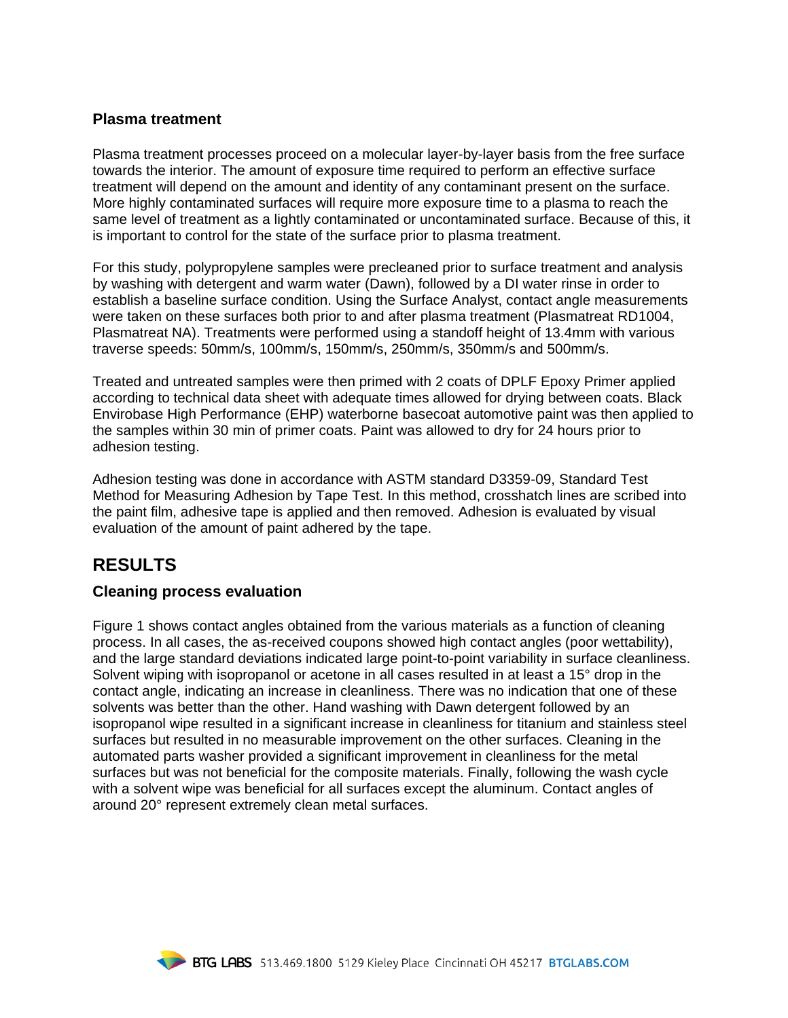#### **Plasma treatment**

Plasma treatment processes proceed on a molecular layer-by-layer basis from the free surface towards the interior. The amount of exposure time required to perform an effective surface treatment will depend on the amount and identity of any contaminant present on the surface. More highly contaminated surfaces will require more exposure time to a plasma to reach the same level of treatment as a lightly contaminated or uncontaminated surface. Because of this, it is important to control for the state of the surface prior to plasma treatment.

For this study, polypropylene samples were precleaned prior to surface treatment and analysis by washing with detergent and warm water (Dawn), followed by a DI water rinse in order to establish a baseline surface condition. Using the Surface Analyst, contact angle measurements were taken on these surfaces both prior to and after plasma treatment (Plasmatreat RD1004, Plasmatreat NA). Treatments were performed using a standoff height of 13.4mm with various traverse speeds: 50mm/s, 100mm/s, 150mm/s, 250mm/s, 350mm/s and 500mm/s.

Treated and untreated samples were then primed with 2 coats of DPLF Epoxy Primer applied according to technical data sheet with adequate times allowed for drying between coats. Black Envirobase High Performance (EHP) waterborne basecoat automotive paint was then applied to the samples within 30 min of primer coats. Paint was allowed to dry for 24 hours prior to adhesion testing.

Adhesion testing was done in accordance with ASTM standard D3359-09, Standard Test Method for Measuring Adhesion by Tape Test. In this method, crosshatch lines are scribed into the paint film, adhesive tape is applied and then removed. Adhesion is evaluated by visual evaluation of the amount of paint adhered by the tape.

## **RESULTS**

#### **Cleaning process evaluation**

Figure 1 shows contact angles obtained from the various materials as a function of cleaning process. In all cases, the as-received coupons showed high contact angles (poor wettability), and the large standard deviations indicated large point-to-point variability in surface cleanliness. Solvent wiping with isopropanol or acetone in all cases resulted in at least a 15° drop in the contact angle, indicating an increase in cleanliness. There was no indication that one of these solvents was better than the other. Hand washing with Dawn detergent followed by an isopropanol wipe resulted in a significant increase in cleanliness for titanium and stainless steel surfaces but resulted in no measurable improvement on the other surfaces. Cleaning in the automated parts washer provided a significant improvement in cleanliness for the metal surfaces but was not beneficial for the composite materials. Finally, following the wash cycle with a solvent wipe was beneficial for all surfaces except the aluminum. Contact angles of around 20° represent extremely clean metal surfaces.

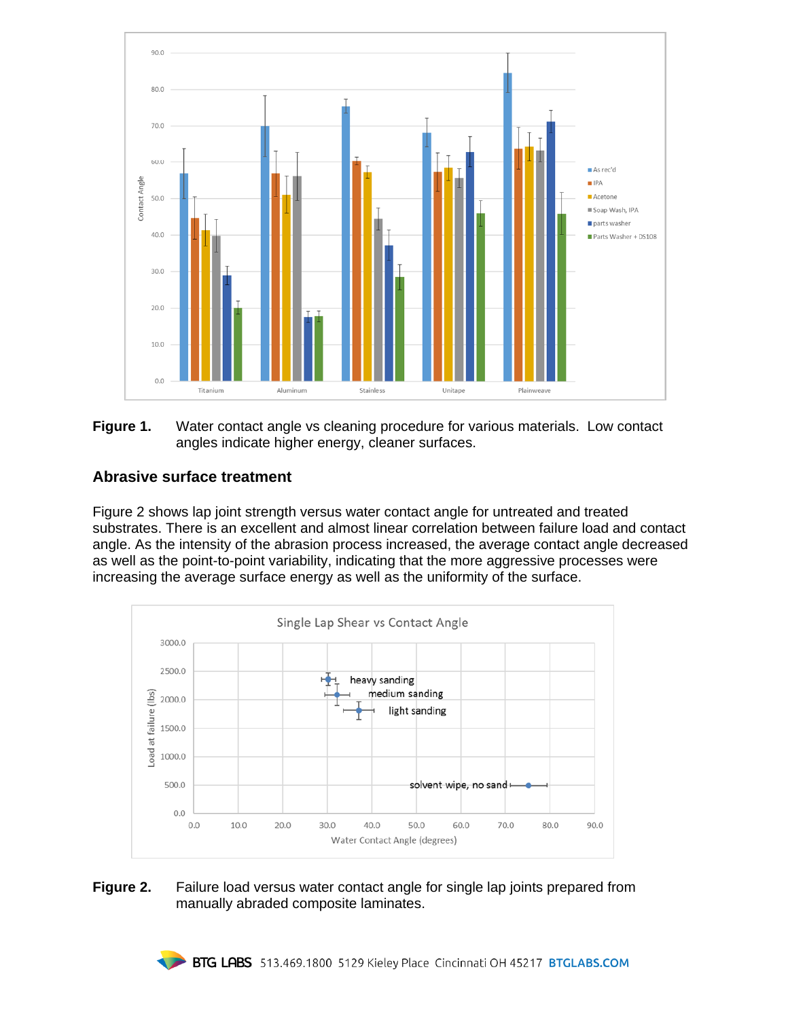

**Figure 1.** Water contact angle vs cleaning procedure for various materials. Low contact angles indicate higher energy, cleaner surfaces.

### **Abrasive surface treatment**

Figure 2 shows lap joint strength versus water contact angle for untreated and treated substrates. There is an excellent and almost linear correlation between failure load and contact angle. As the intensity of the abrasion process increased, the average contact angle decreased as well as the point-to-point variability, indicating that the more aggressive processes were increasing the average surface energy as well as the uniformity of the surface.



#### **Figure 2.** Failure load versus water contact angle for single lap joints prepared from manually abraded composite laminates.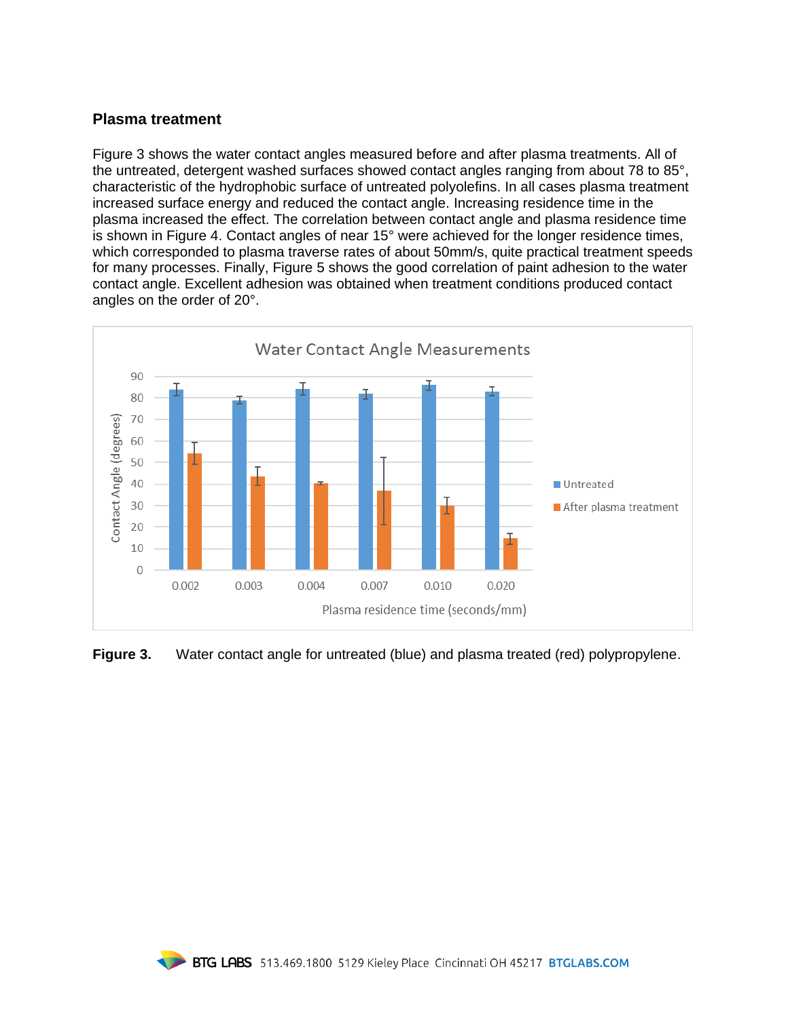#### **Plasma treatment**

Figure 3 shows the water contact angles measured before and after plasma treatments. All of the untreated, detergent washed surfaces showed contact angles ranging from about 78 to 85°, characteristic of the hydrophobic surface of untreated polyolefins. In all cases plasma treatment increased surface energy and reduced the contact angle. Increasing residence time in the plasma increased the effect. The correlation between contact angle and plasma residence time is shown in Figure 4. Contact angles of near 15° were achieved for the longer residence times, which corresponded to plasma traverse rates of about 50mm/s, quite practical treatment speeds for many processes. Finally, Figure 5 shows the good correlation of paint adhesion to the water contact angle. Excellent adhesion was obtained when treatment conditions produced contact angles on the order of 20°.



**Figure 3.** Water contact angle for untreated (blue) and plasma treated (red) polypropylene.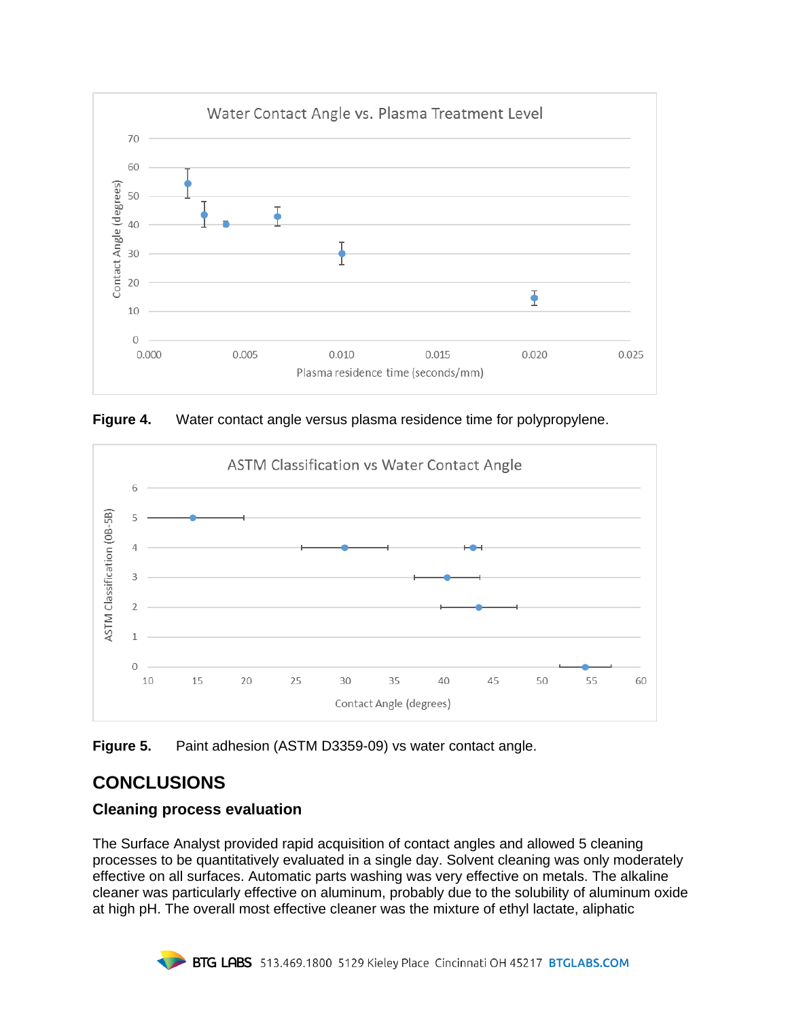

**Figure 4.** Water contact angle versus plasma residence time for polypropylene.



**Figure 5.** Paint adhesion (ASTM D3359-09) vs water contact angle.

# **CONCLUSIONS**

## **Cleaning process evaluation**

The Surface Analyst provided rapid acquisition of contact angles and allowed 5 cleaning processes to be quantitatively evaluated in a single day. Solvent cleaning was only moderately effective on all surfaces. Automatic parts washing was very effective on metals. The alkaline cleaner was particularly effective on aluminum, probably due to the solubility of aluminum oxide at high pH. The overall most effective cleaner was the mixture of ethyl lactate, aliphatic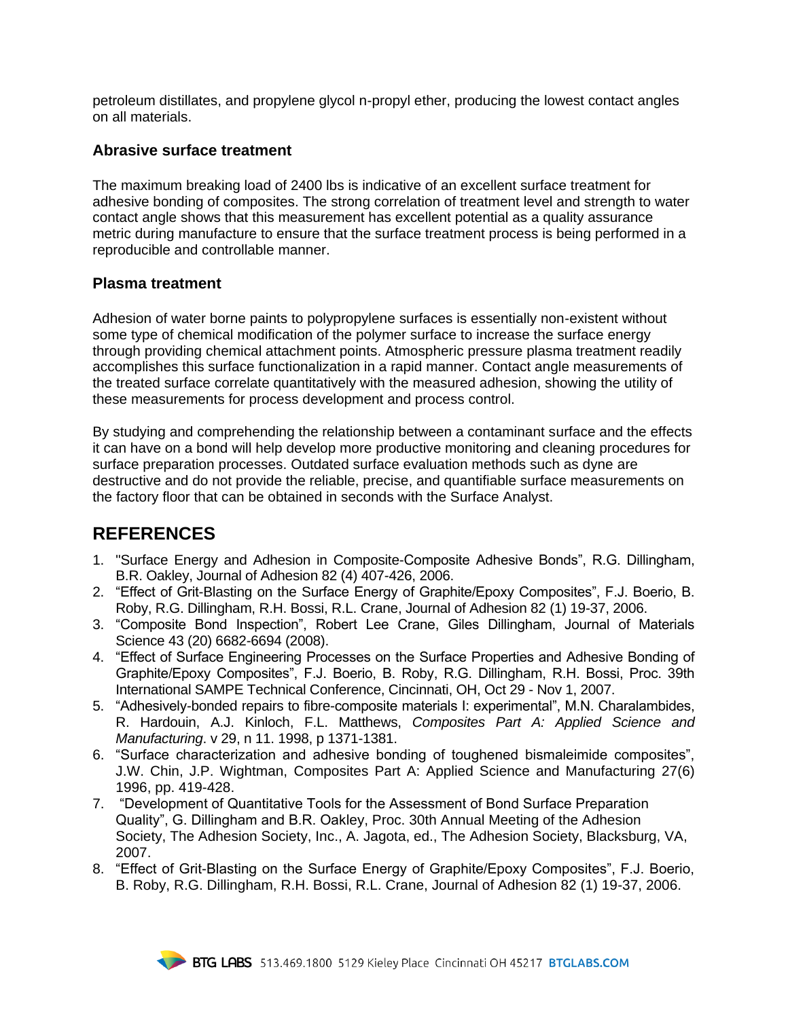petroleum distillates, and propylene glycol n-propyl ether, producing the lowest contact angles on all materials.

### **Abrasive surface treatment**

The maximum breaking load of 2400 lbs is indicative of an excellent surface treatment for adhesive bonding of composites. The strong correlation of treatment level and strength to water contact angle shows that this measurement has excellent potential as a quality assurance metric during manufacture to ensure that the surface treatment process is being performed in a reproducible and controllable manner.

#### **Plasma treatment**

Adhesion of water borne paints to polypropylene surfaces is essentially non-existent without some type of chemical modification of the polymer surface to increase the surface energy through providing chemical attachment points. Atmospheric pressure plasma treatment readily accomplishes this surface functionalization in a rapid manner. Contact angle measurements of the treated surface correlate quantitatively with the measured adhesion, showing the utility of these measurements for process development and process control.

By studying and comprehending the relationship between a contaminant surface and the effects it can have on a bond will help develop more productive monitoring and cleaning procedures for surface preparation processes. Outdated surface evaluation methods such as dyne are destructive and do not provide the reliable, precise, and quantifiable surface measurements on the factory floor that can be obtained in seconds with the Surface Analyst.

## **REFERENCES**

- 1. "Surface Energy and Adhesion in Composite-Composite Adhesive Bonds", R.G. Dillingham, B.R. Oakley, Journal of Adhesion 82 (4) 407-426, 2006.
- 2. "Effect of Grit-Blasting on the Surface Energy of Graphite/Epoxy Composites", F.J. Boerio, B. Roby, R.G. Dillingham, R.H. Bossi, R.L. Crane, Journal of Adhesion 82 (1) 19-37, 2006.
- 3. "Composite Bond Inspection", Robert Lee Crane, Giles Dillingham, Journal of Materials Science 43 (20) 6682-6694 (2008).
- 4. "Effect of Surface Engineering Processes on the Surface Properties and Adhesive Bonding of Graphite/Epoxy Composites", F.J. Boerio, B. Roby, R.G. Dillingham, R.H. Bossi, Proc. 39th International SAMPE Technical Conference, Cincinnati, OH, Oct 29 - Nov 1, 2007.
- 5. "Adhesively-bonded repairs to fibre-composite materials I: experimental", M.N. Charalambides, R. Hardouin, A.J. Kinloch, F.L. Matthews, *Composites Part A: Applied Science and Manufacturing*. v 29, n 11. 1998, p 1371-1381.
- 6. "Surface characterization and adhesive bonding of toughened bismaleimide composites", J.W. Chin, J.P. Wightman, [Composites Part A: Applied Science and Manufacturing](http://etextb.ohiolink.edu.proxy.libraries.uc.edu/bin/gate.exe?f=toc&state=ohr75q.3.6&expr=ALL&p_s_ALL=%28%22Composites-Part-A:-Applied-Science-and-Manufacturing%22%29.JNBR.&p_op_ALL=ADJ&a_search=Search) 27(6) 1996, pp. 419-428.
- 7. "Development of Quantitative Tools for the Assessment of Bond Surface Preparation Quality", G. Dillingham and B.R. Oakley, Proc. 30th Annual Meeting of the Adhesion Society, The Adhesion Society, Inc., A. Jagota, ed., The Adhesion Society, Blacksburg, VA, 2007.
- 8. "Effect of Grit-Blasting on the Surface Energy of Graphite/Epoxy Composites", F.J. Boerio, B. Roby, R.G. Dillingham, R.H. Bossi, R.L. Crane, Journal of Adhesion 82 (1) 19-37, 2006.